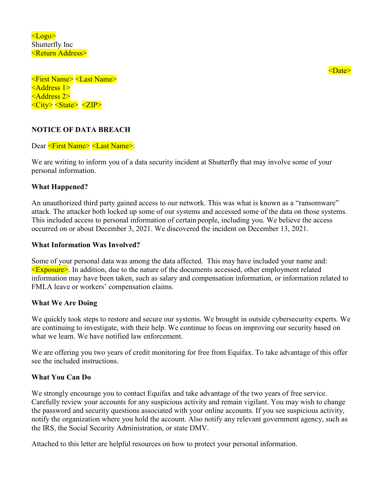<Logo> Shutterfly Inc <Return Address>

<First Name> <Last Name> <Address 1> <Address 2> <City> <State> <ZIP>

## **NOTICE OF DATA BREACH**

Dear <First Name> <Last Name>:

We are writing to inform you of a data security incident at Shutterfly that may involve some of your personal information.

## **What Happened?**

An unauthorized third party gained access to our network. This was what is known as a "ransomware" attack. The attacker both locked up some of our systems and accessed some of the data on those systems. This included access to personal information of certain people, including you. We believe the access occurred on or about December 3, 2021. We discovered the incident on December 13, 2021.

## **What Information Was Involved?**

Some of your personal data was among the data affected. This may have included your name and:  $\leq$ Exposure $\geq$ . In addition, due to the nature of the documents accessed, other employment related information may have been taken, such as salary and compensation information, or information related to FMLA leave or workers' compensation claims.

## **What We Are Doing**

We quickly took steps to restore and secure our systems. We brought in outside cybersecurity experts. We are continuing to investigate, with their help. We continue to focus on improving our security based on what we learn. We have notified law enforcement.

We are offering you two years of credit monitoring for free from Equifax. To take advantage of this offer see the included instructions.

## **What You Can Do**

We strongly encourage you to contact Equifax and take advantage of the two years of free service. Carefully review your accounts for any suspicious activity and remain vigilant. You may wish to change the password and security questions associated with your online accounts. If you see suspicious activity, notify the organization where you hold the account. Also notify any relevant government agency, such as the IRS, the Social Security Administration, or state DMV.

Attached to this letter are helpful resources on how to protect your personal information.

<Date>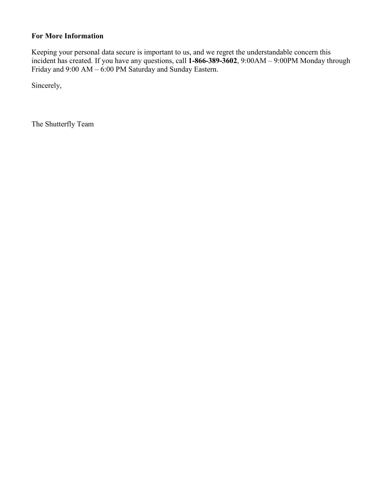# **For More Information**

Keeping your personal data secure is important to us, and we regret the understandable concern this incident has created. If you have any questions, call **1-866-389-3602**, 9:00AM – 9:00PM Monday through Friday and 9:00 AM – 6:00 PM Saturday and Sunday Eastern.

Sincerely,

The Shutterfly Team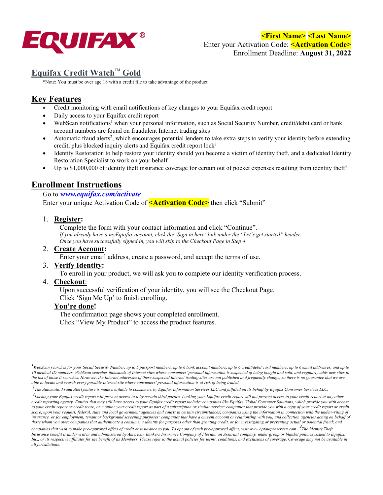

**<First Name> <Last Name>**  Enter your Activation Code: **<Activation Code>** Enrollment Deadline: **August 31, 2022**

# **Equifax Credit Watch**™ **Gold**

\*Note: You must be over age 18 with a credit file to take advantage of the product

# **Key Features**

- Credit monitoring with email notifications of key changes to your Equifax credit report
- Daily access to your Equifax credit report
- WebScan notifications<sup>1</sup> when your personal information, such as Social Security Number, credit/debit card or bank account numbers are found on fraudulent Internet trading sites
- Automatic fraud alerts<sup>2</sup>, which encourages potential lenders to take extra steps to verify your identity before extending credit, plus blocked inquiry alerts and Equifax credit report lock<sup>3</sup>
- Identity Restoration to help restore your identity should you become a victim of identity theft, and a dedicated Identity Restoration Specialist to work on your behalf
- Up to  $$1,000,000$  of identity theft insurance coverage for certain out of pocket expenses resulting from identity theft<sup>4</sup>

# **Enrollment Instructions**

## Go to *www.equifax.com/activate*

Enter your unique Activation Code of **<Activation Code>** then click "Submit"

## 1. **Register:**

Complete the form with your contact information and click "Continue". *If you already have a myEquifax account, click the 'Sign in here' link under the "Let's get started" header. Once you have successfully signed in, you will skip to the Checkout Page in Step 4* 

### 2. **Create Account:**

Enter your email address, create a password, and accept the terms of use.

### 3. **Verify Identity:**

To enroll in your product, we will ask you to complete our identity verification process.

### 4. **Checkout**:

Upon successful verification of your identity, you will see the Checkout Page.

Click 'Sign Me Up' to finish enrolling.

### **You're done!**

The confirmation page shows your completed enrollment. Click "View My Product" to access the product features.

**2** *The Automatic Fraud Alert feature is made available to consumers by Equifax Information Services LLC and fulfilled on its behalf by Equifax Consumer Services LLC.* 

*3 Locking your Equifax credit report will prevent access to it by certain third parties. Locking your Equifax credit report will not prevent access to your credit report at any other credit reporting agency. Entities that may still have access to your Equifax credit report include: companies like Equifax Global Consumer Solutions, which provide you with access*  to your credit report or credit score, or monitor your credit report as part of a subscription or similar service; companies that provide you with a copy of your credit report or credit score, upon your request; federal, state and local government agencies and courts in certain circumstances; companies using the information in connection with the underwriting of *insurance, or for employment, tenant or background screening purposes; companies that have a current account or relationship with you, and collection agencies acting on behalf of those whom you owe; companies that authenticate a consumer's identity for purposes other than granting credit, or for investigating or preventing actual or potential fraud; and* 

*companies that wish to make pre-approved offers of credit or insurance to you. To opt out of such pre-approved offers, visit www.optoutprescreen.com <sup>4</sup> The Identity Theft Insurance benefit is underwritten and administered by American Bankers Insurance Company of Florida, an Assurant company, under group or blanket policies issued to Equifax, Inc., or its respective affiliates for the benefit of its Members. Please refer to the actual policies for terms, conditions, and exclusions of coverage. Coverage may not be available in all jurisdictions.*

*<sup>1</sup>WebScan searches for your Social Security Number, up to 5 passport numbers, up to 6 bank account numbers, up to 6 credit/debit card numbers, up to 6 email addresses, and up to 10 medical ID numbers. WebScan searches thousands of Internet sites where consumers' personal information is suspected of being bought and sold, and regularly adds new sites to the list of those it searches. However, the Internet addresses of these suspected Internet trading sites are not published and frequently change, so there is no guarantee that we are able to locate and search every possible Internet site where consumers' personal information is at risk of being traded.*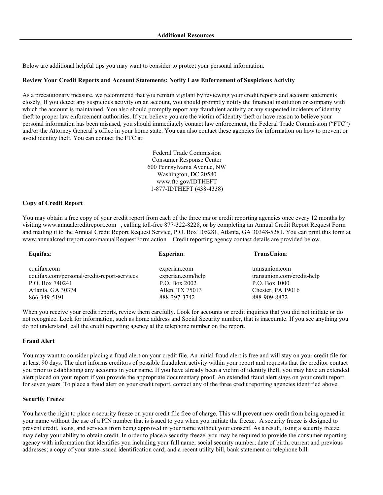Below are additional helpful tips you may want to consider to protect your personal information.

#### **Review Your Credit Reports and Account Statements; Notify Law Enforcement of Suspicious Activity**

As a precautionary measure, we recommend that you remain vigilant by reviewing your credit reports and account statements closely. If you detect any suspicious activity on an account, you should promptly notify the financial institution or company with which the account is maintained. You also should promptly report any fraudulent activity or any suspected incidents of identity theft to proper law enforcement authorities. If you believe you are the victim of identity theft or have reason to believe your personal information has been misused, you should immediately contact law enforcement, the Federal Trade Commission ("FTC") and/or the Attorney General's office in your home state. You can also contact these agencies for information on how to prevent or avoid identity theft. You can contact the FTC at:

> Federal Trade Commission Consumer Response Center 600 Pennsylvania Avenue, NW Washington, DC 20580 www.ftc.gov/IDTHEFT 1-877-IDTHEFT (438-4338)

#### **Copy of Credit Report**

You may obtain a free copy of your credit report from each of the three major credit reporting agencies once every 12 months by visiting www.annualcreditreport.com , calling toll-free 877-322-8228, or by completing an Annual Credit Report Request Form and mailing it to the Annual Credit Report Request Service, P.O. Box 105281, Atlanta, GA 30348-5281. You can print this form at www.annualcreditreport.com/manualRequestForm.action Credit reporting agency contact details are provided below.

| Equifax:                                    | <b>Experian:</b>  | TransUnion:                |
|---------------------------------------------|-------------------|----------------------------|
| equifax.com                                 | experian.com      | transunion.com             |
| equifax.com/personal/credit-report-services | experian.com/help | transunion.com/credit-help |
| P.O. Box 740241                             | P.O. Box 2002     | P.O. Box 1000              |
| Atlanta, GA 30374                           | Allen, TX 75013   | Chester, PA 19016          |
| 866-349-5191                                | 888-397-3742      | 888-909-8872               |

When you receive your credit reports, review them carefully. Look for accounts or credit inquiries that you did not initiate or do not recognize. Look for information, such as home address and Social Security number, that is inaccurate. If you see anything you do not understand, call the credit reporting agency at the telephone number on the report.

#### **Fraud Alert**

You may want to consider placing a fraud alert on your credit file. An initial fraud alert is free and will stay on your credit file for at least 90 days. The alert informs creditors of possible fraudulent activity within your report and requests that the creditor contact you prior to establishing any accounts in your name. If you have already been a victim of identity theft, you may have an extended alert placed on your report if you provide the appropriate documentary proof. An extended fraud alert stays on your credit report for seven years. To place a fraud alert on your credit report, contact any of the three credit reporting agencies identified above.

#### **Security Freeze**

You have the right to place a security freeze on your credit file free of charge. This will prevent new credit from being opened in your name without the use of a PIN number that is issued to you when you initiate the freeze. A security freeze is designed to prevent credit, loans, and services from being approved in your name without your consent. As a result, using a security freeze may delay your ability to obtain credit. In order to place a security freeze, you may be required to provide the consumer reporting agency with information that identifies you including your full name; social security number; date of birth; current and previous addresses; a copy of your state-issued identification card; and a recent utility bill, bank statement or telephone bill.